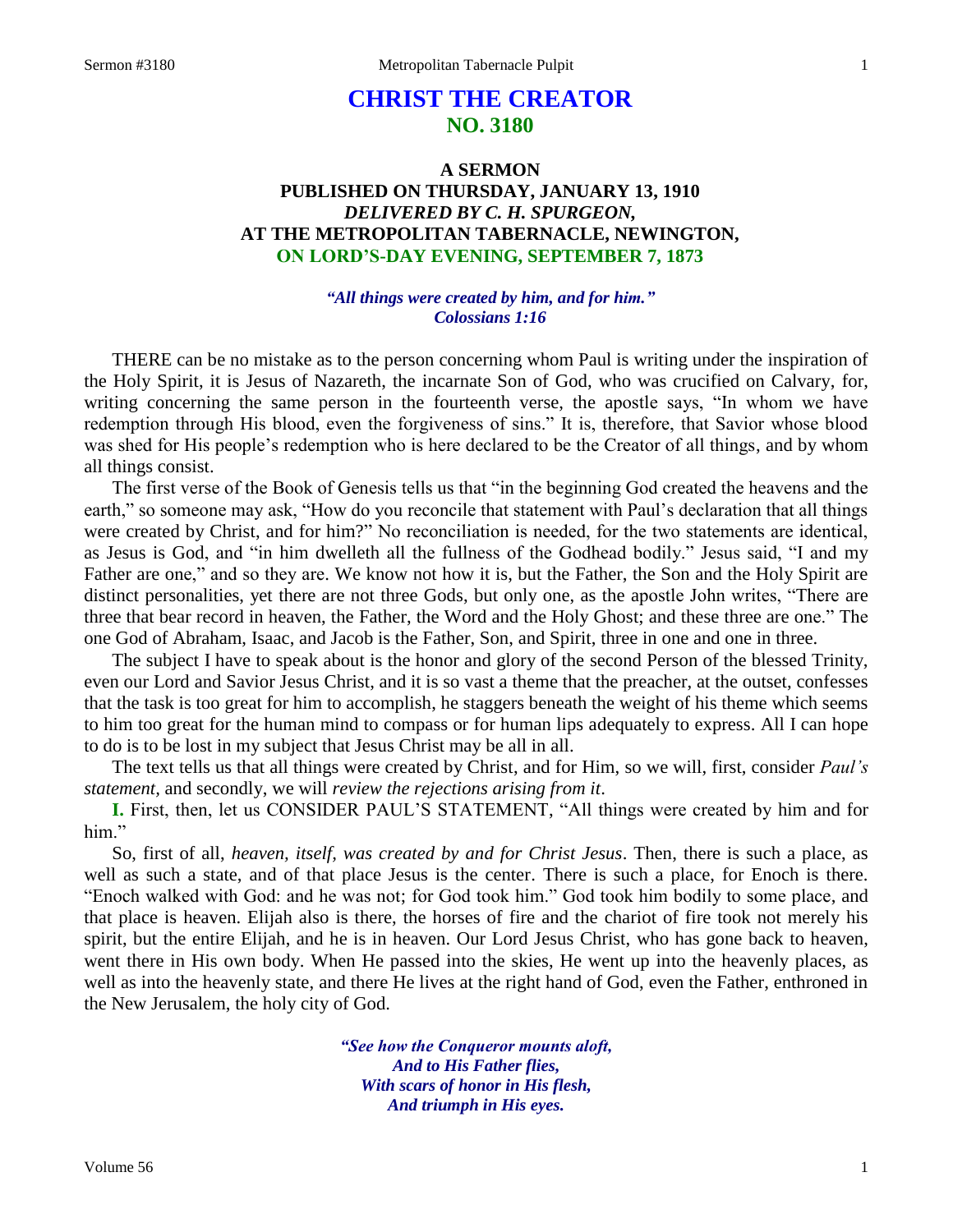# **CHRIST THE CREATOR NO. 3180**

## **A SERMON PUBLISHED ON THURSDAY, JANUARY 13, 1910** *DELIVERED BY C. H. SPURGEON,* **AT THE METROPOLITAN TABERNACLE, NEWINGTON, ON LORD'S-DAY EVENING, SEPTEMBER 7, 1873**

## *"All things were created by him, and for him." Colossians 1:16*

THERE can be no mistake as to the person concerning whom Paul is writing under the inspiration of the Holy Spirit, it is Jesus of Nazareth, the incarnate Son of God, who was crucified on Calvary, for, writing concerning the same person in the fourteenth verse, the apostle says, "In whom we have redemption through His blood, even the forgiveness of sins." It is, therefore, that Savior whose blood was shed for His people's redemption who is here declared to be the Creator of all things, and by whom all things consist.

The first verse of the Book of Genesis tells us that "in the beginning God created the heavens and the earth," so someone may ask, "How do you reconcile that statement with Paul's declaration that all things were created by Christ, and for him?" No reconciliation is needed, for the two statements are identical, as Jesus is God, and "in him dwelleth all the fullness of the Godhead bodily." Jesus said, "I and my Father are one," and so they are. We know not how it is, but the Father, the Son and the Holy Spirit are distinct personalities, yet there are not three Gods, but only one, as the apostle John writes, "There are three that bear record in heaven, the Father, the Word and the Holy Ghost; and these three are one." The one God of Abraham, Isaac, and Jacob is the Father, Son, and Spirit, three in one and one in three.

The subject I have to speak about is the honor and glory of the second Person of the blessed Trinity, even our Lord and Savior Jesus Christ, and it is so vast a theme that the preacher, at the outset, confesses that the task is too great for him to accomplish, he staggers beneath the weight of his theme which seems to him too great for the human mind to compass or for human lips adequately to express. All I can hope to do is to be lost in my subject that Jesus Christ may be all in all.

The text tells us that all things were created by Christ, and for Him, so we will, first, consider *Paul's statement,* and secondly, we will *review the rejections arising from it*.

**I.** First, then, let us CONSIDER PAUL'S STATEMENT, "All things were created by him and for him."

So, first of all, *heaven, itself, was created by and for Christ Jesus*. Then, there is such a place, as well as such a state, and of that place Jesus is the center. There is such a place, for Enoch is there. "Enoch walked with God: and he was not; for God took him." God took him bodily to some place, and that place is heaven. Elijah also is there, the horses of fire and the chariot of fire took not merely his spirit, but the entire Elijah, and he is in heaven. Our Lord Jesus Christ, who has gone back to heaven, went there in His own body. When He passed into the skies, He went up into the heavenly places, as well as into the heavenly state, and there He lives at the right hand of God, even the Father, enthroned in the New Jerusalem, the holy city of God.

> *"See how the Conqueror mounts aloft, And to His Father flies, With scars of honor in His flesh, And triumph in His eyes.*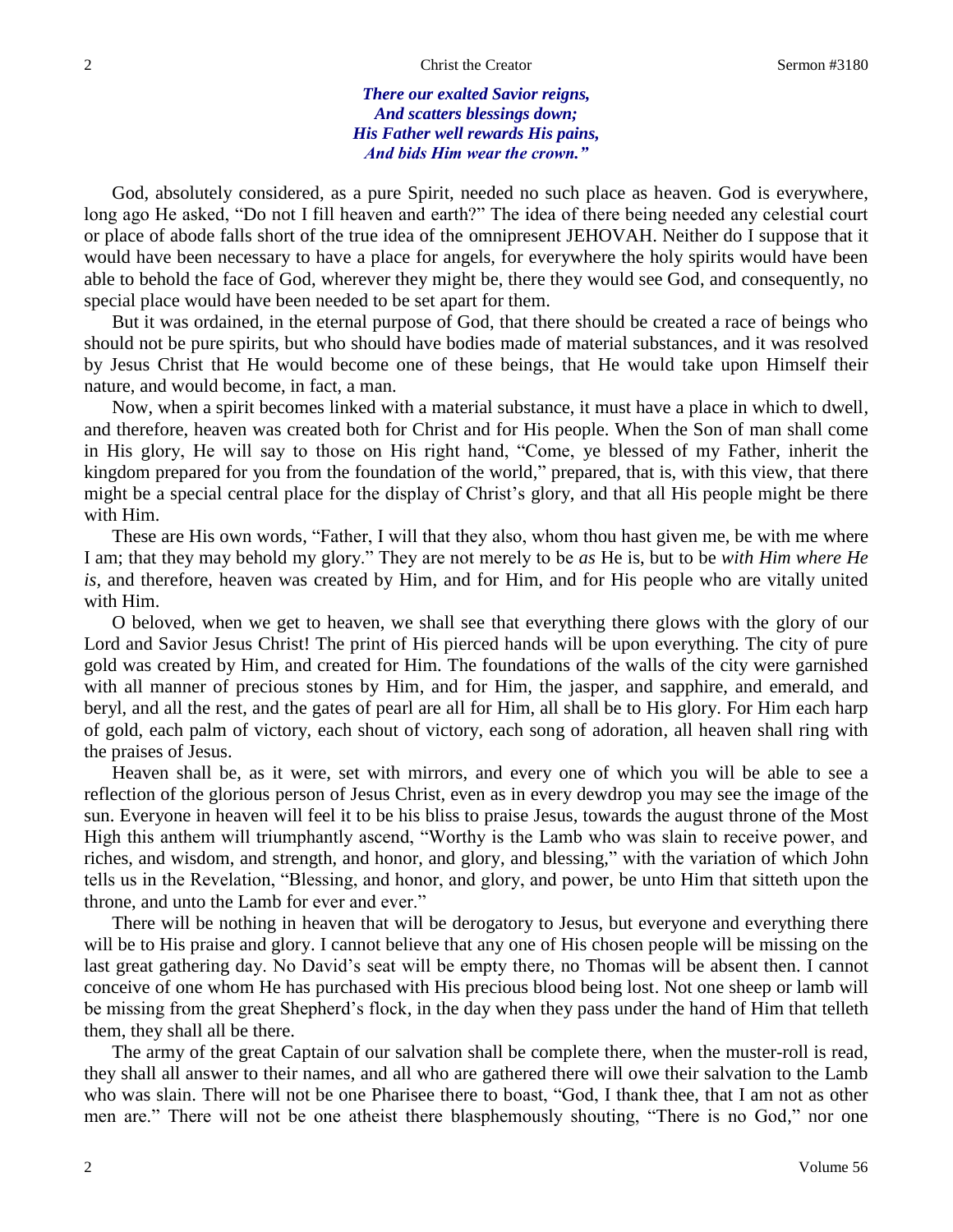## 2 Christ the Creator Christ the Creator Sermon #3180

*There our exalted Savior reigns, And scatters blessings down; His Father well rewards His pains, And bids Him wear the crown."*

God, absolutely considered, as a pure Spirit, needed no such place as heaven. God is everywhere, long ago He asked, "Do not I fill heaven and earth?" The idea of there being needed any celestial court or place of abode falls short of the true idea of the omnipresent JEHOVAH. Neither do I suppose that it would have been necessary to have a place for angels, for everywhere the holy spirits would have been able to behold the face of God, wherever they might be, there they would see God, and consequently, no special place would have been needed to be set apart for them.

But it was ordained, in the eternal purpose of God, that there should be created a race of beings who should not be pure spirits, but who should have bodies made of material substances, and it was resolved by Jesus Christ that He would become one of these beings, that He would take upon Himself their nature, and would become, in fact, a man.

Now, when a spirit becomes linked with a material substance, it must have a place in which to dwell, and therefore, heaven was created both for Christ and for His people. When the Son of man shall come in His glory, He will say to those on His right hand, "Come, ye blessed of my Father, inherit the kingdom prepared for you from the foundation of the world," prepared, that is, with this view, that there might be a special central place for the display of Christ's glory, and that all His people might be there with Him.

These are His own words, "Father, I will that they also, whom thou hast given me, be with me where I am; that they may behold my glory." They are not merely to be *as* He is, but to be *with Him where He is,* and therefore, heaven was created by Him, and for Him, and for His people who are vitally united with Him.

O beloved, when we get to heaven, we shall see that everything there glows with the glory of our Lord and Savior Jesus Christ! The print of His pierced hands will be upon everything. The city of pure gold was created by Him, and created for Him. The foundations of the walls of the city were garnished with all manner of precious stones by Him, and for Him, the jasper, and sapphire, and emerald, and beryl, and all the rest, and the gates of pearl are all for Him, all shall be to His glory. For Him each harp of gold, each palm of victory, each shout of victory, each song of adoration, all heaven shall ring with the praises of Jesus.

Heaven shall be, as it were, set with mirrors, and every one of which you will be able to see a reflection of the glorious person of Jesus Christ, even as in every dewdrop you may see the image of the sun. Everyone in heaven will feel it to be his bliss to praise Jesus, towards the august throne of the Most High this anthem will triumphantly ascend, "Worthy is the Lamb who was slain to receive power, and riches, and wisdom, and strength, and honor, and glory, and blessing," with the variation of which John tells us in the Revelation, "Blessing, and honor, and glory, and power, be unto Him that sitteth upon the throne, and unto the Lamb for ever and ever."

There will be nothing in heaven that will be derogatory to Jesus, but everyone and everything there will be to His praise and glory. I cannot believe that any one of His chosen people will be missing on the last great gathering day. No David's seat will be empty there, no Thomas will be absent then. I cannot conceive of one whom He has purchased with His precious blood being lost. Not one sheep or lamb will be missing from the great Shepherd's flock, in the day when they pass under the hand of Him that telleth them, they shall all be there.

The army of the great Captain of our salvation shall be complete there, when the muster-roll is read, they shall all answer to their names, and all who are gathered there will owe their salvation to the Lamb who was slain. There will not be one Pharisee there to boast, "God, I thank thee, that I am not as other men are." There will not be one atheist there blasphemously shouting, "There is no God," nor one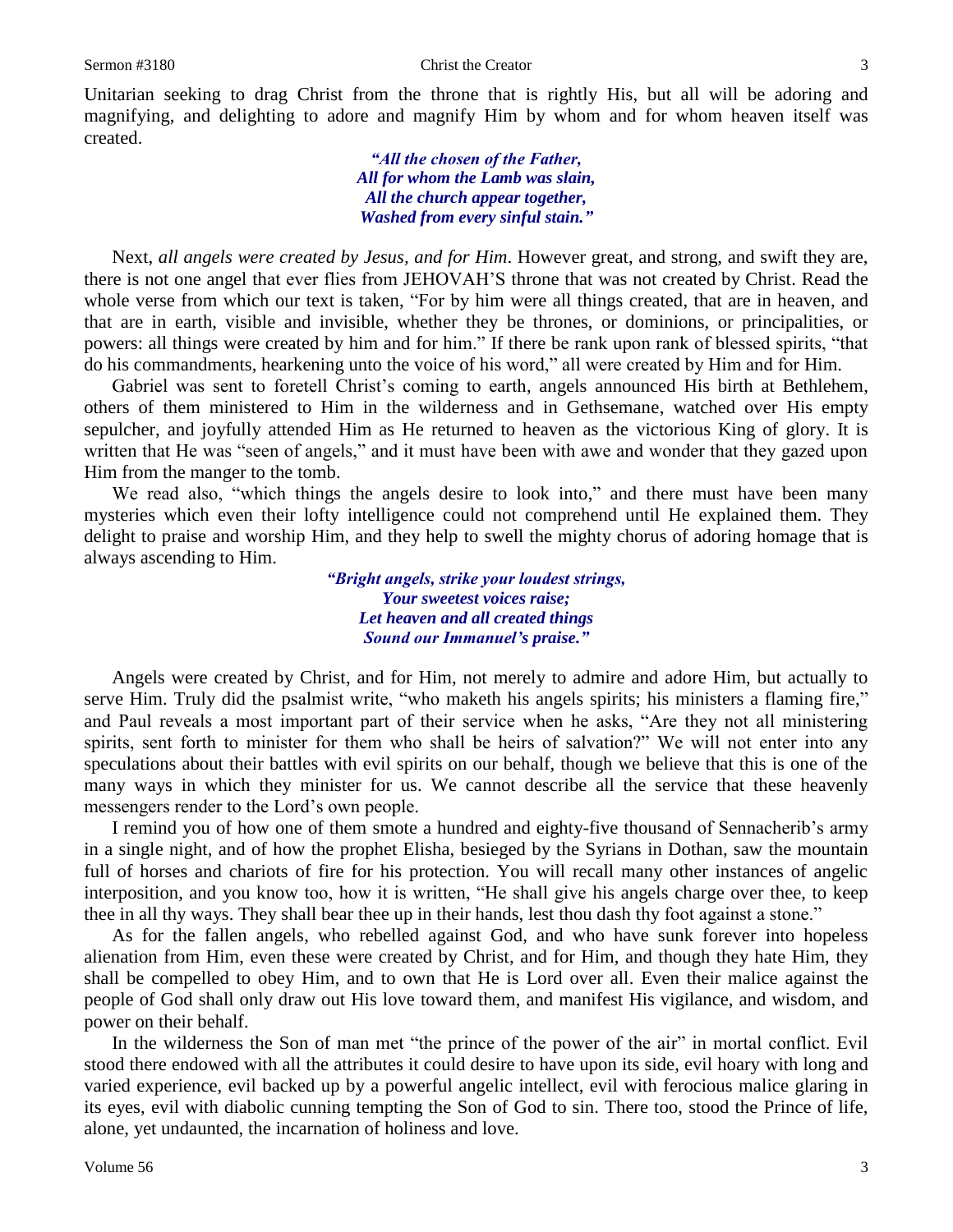Unitarian seeking to drag Christ from the throne that is rightly His, but all will be adoring and magnifying, and delighting to adore and magnify Him by whom and for whom heaven itself was created.

> *"All the chosen of the Father, All for whom the Lamb was slain, All the church appear together, Washed from every sinful stain."*

Next, *all angels were created by Jesus, and for Him*. However great, and strong, and swift they are, there is not one angel that ever flies from JEHOVAH'S throne that was not created by Christ. Read the whole verse from which our text is taken, "For by him were all things created, that are in heaven, and that are in earth, visible and invisible, whether they be thrones, or dominions, or principalities, or powers: all things were created by him and for him." If there be rank upon rank of blessed spirits, "that do his commandments, hearkening unto the voice of his word," all were created by Him and for Him.

Gabriel was sent to foretell Christ's coming to earth, angels announced His birth at Bethlehem, others of them ministered to Him in the wilderness and in Gethsemane, watched over His empty sepulcher, and joyfully attended Him as He returned to heaven as the victorious King of glory. It is written that He was "seen of angels," and it must have been with awe and wonder that they gazed upon Him from the manger to the tomb.

We read also, "which things the angels desire to look into," and there must have been many mysteries which even their lofty intelligence could not comprehend until He explained them. They delight to praise and worship Him, and they help to swell the mighty chorus of adoring homage that is always ascending to Him.

> *"Bright angels, strike your loudest strings, Your sweetest voices raise; Let heaven and all created things Sound our Immanuel's praise."*

Angels were created by Christ, and for Him, not merely to admire and adore Him, but actually to serve Him. Truly did the psalmist write, "who maketh his angels spirits; his ministers a flaming fire," and Paul reveals a most important part of their service when he asks, "Are they not all ministering spirits, sent forth to minister for them who shall be heirs of salvation?" We will not enter into any speculations about their battles with evil spirits on our behalf, though we believe that this is one of the many ways in which they minister for us. We cannot describe all the service that these heavenly messengers render to the Lord's own people.

I remind you of how one of them smote a hundred and eighty-five thousand of Sennacherib's army in a single night, and of how the prophet Elisha, besieged by the Syrians in Dothan, saw the mountain full of horses and chariots of fire for his protection. You will recall many other instances of angelic interposition, and you know too, how it is written, "He shall give his angels charge over thee, to keep thee in all thy ways. They shall bear thee up in their hands, lest thou dash thy foot against a stone."

As for the fallen angels, who rebelled against God, and who have sunk forever into hopeless alienation from Him, even these were created by Christ, and for Him, and though they hate Him, they shall be compelled to obey Him, and to own that He is Lord over all. Even their malice against the people of God shall only draw out His love toward them, and manifest His vigilance, and wisdom, and power on their behalf.

In the wilderness the Son of man met "the prince of the power of the air" in mortal conflict. Evil stood there endowed with all the attributes it could desire to have upon its side, evil hoary with long and varied experience, evil backed up by a powerful angelic intellect, evil with ferocious malice glaring in its eyes, evil with diabolic cunning tempting the Son of God to sin. There too, stood the Prince of life, alone, yet undaunted, the incarnation of holiness and love.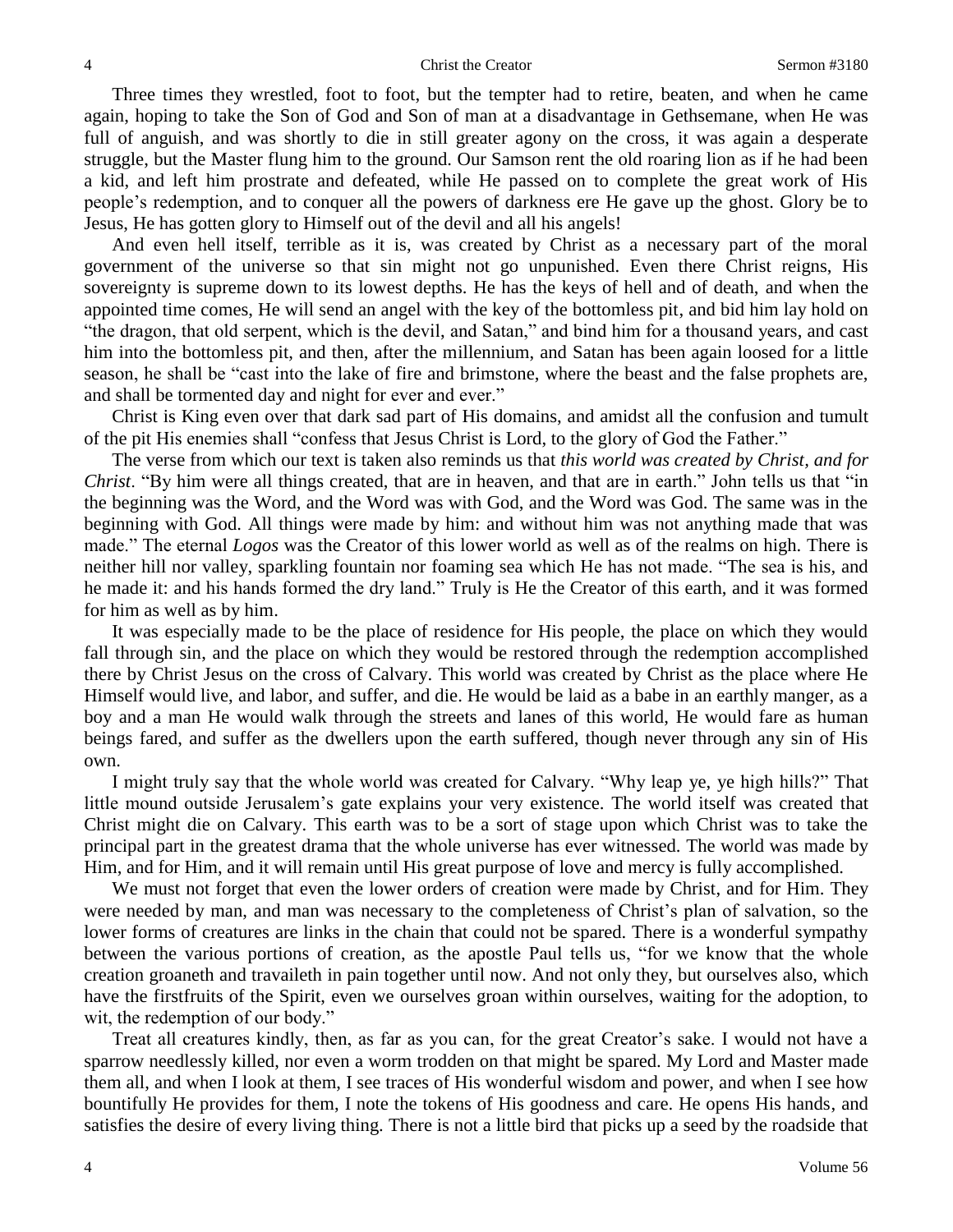Three times they wrestled, foot to foot, but the tempter had to retire, beaten, and when he came again, hoping to take the Son of God and Son of man at a disadvantage in Gethsemane, when He was full of anguish, and was shortly to die in still greater agony on the cross, it was again a desperate struggle, but the Master flung him to the ground. Our Samson rent the old roaring lion as if he had been a kid, and left him prostrate and defeated, while He passed on to complete the great work of His people's redemption, and to conquer all the powers of darkness ere He gave up the ghost. Glory be to Jesus, He has gotten glory to Himself out of the devil and all his angels!

And even hell itself, terrible as it is, was created by Christ as a necessary part of the moral government of the universe so that sin might not go unpunished. Even there Christ reigns, His sovereignty is supreme down to its lowest depths. He has the keys of hell and of death, and when the appointed time comes, He will send an angel with the key of the bottomless pit, and bid him lay hold on "the dragon, that old serpent, which is the devil, and Satan," and bind him for a thousand years, and cast him into the bottomless pit, and then, after the millennium, and Satan has been again loosed for a little season, he shall be "cast into the lake of fire and brimstone, where the beast and the false prophets are, and shall be tormented day and night for ever and ever."

Christ is King even over that dark sad part of His domains, and amidst all the confusion and tumult of the pit His enemies shall "confess that Jesus Christ is Lord, to the glory of God the Father."

The verse from which our text is taken also reminds us that *this world was created by Christ, and for Christ*. "By him were all things created, that are in heaven, and that are in earth." John tells us that "in the beginning was the Word, and the Word was with God, and the Word was God. The same was in the beginning with God. All things were made by him: and without him was not anything made that was made." The eternal *Logos* was the Creator of this lower world as well as of the realms on high. There is neither hill nor valley, sparkling fountain nor foaming sea which He has not made. "The sea is his, and he made it: and his hands formed the dry land." Truly is He the Creator of this earth, and it was formed for him as well as by him.

It was especially made to be the place of residence for His people, the place on which they would fall through sin, and the place on which they would be restored through the redemption accomplished there by Christ Jesus on the cross of Calvary. This world was created by Christ as the place where He Himself would live, and labor, and suffer, and die. He would be laid as a babe in an earthly manger, as a boy and a man He would walk through the streets and lanes of this world, He would fare as human beings fared, and suffer as the dwellers upon the earth suffered, though never through any sin of His own.

I might truly say that the whole world was created for Calvary. "Why leap ye, ye high hills?" That little mound outside Jerusalem's gate explains your very existence. The world itself was created that Christ might die on Calvary. This earth was to be a sort of stage upon which Christ was to take the principal part in the greatest drama that the whole universe has ever witnessed. The world was made by Him, and for Him, and it will remain until His great purpose of love and mercy is fully accomplished.

We must not forget that even the lower orders of creation were made by Christ, and for Him. They were needed by man, and man was necessary to the completeness of Christ's plan of salvation, so the lower forms of creatures are links in the chain that could not be spared. There is a wonderful sympathy between the various portions of creation, as the apostle Paul tells us, "for we know that the whole creation groaneth and travaileth in pain together until now. And not only they, but ourselves also, which have the firstfruits of the Spirit, even we ourselves groan within ourselves, waiting for the adoption, to wit, the redemption of our body."

Treat all creatures kindly, then, as far as you can, for the great Creator's sake. I would not have a sparrow needlessly killed, nor even a worm trodden on that might be spared. My Lord and Master made them all, and when I look at them, I see traces of His wonderful wisdom and power, and when I see how bountifully He provides for them, I note the tokens of His goodness and care. He opens His hands, and satisfies the desire of every living thing. There is not a little bird that picks up a seed by the roadside that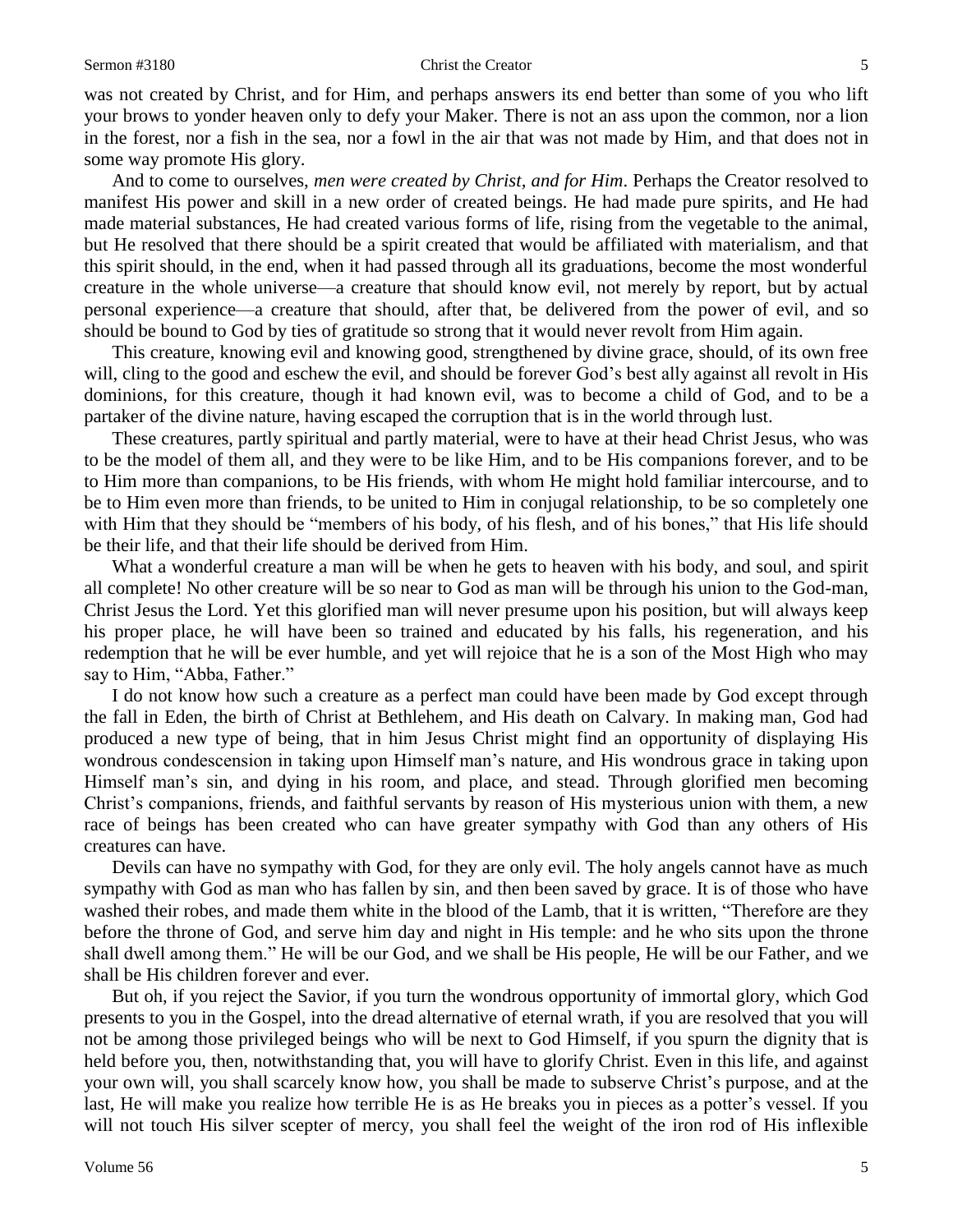### Sermon #3180 Christ the Creator 5

was not created by Christ, and for Him, and perhaps answers its end better than some of you who lift your brows to yonder heaven only to defy your Maker. There is not an ass upon the common, nor a lion in the forest, nor a fish in the sea, nor a fowl in the air that was not made by Him, and that does not in some way promote His glory.

And to come to ourselves, *men were created by Christ, and for Him*. Perhaps the Creator resolved to manifest His power and skill in a new order of created beings. He had made pure spirits, and He had made material substances, He had created various forms of life, rising from the vegetable to the animal, but He resolved that there should be a spirit created that would be affiliated with materialism, and that this spirit should, in the end, when it had passed through all its graduations, become the most wonderful creature in the whole universe—a creature that should know evil, not merely by report, but by actual personal experience—a creature that should, after that, be delivered from the power of evil, and so should be bound to God by ties of gratitude so strong that it would never revolt from Him again.

This creature, knowing evil and knowing good, strengthened by divine grace, should, of its own free will, cling to the good and eschew the evil, and should be forever God's best ally against all revolt in His dominions, for this creature, though it had known evil, was to become a child of God, and to be a partaker of the divine nature, having escaped the corruption that is in the world through lust.

These creatures, partly spiritual and partly material, were to have at their head Christ Jesus, who was to be the model of them all, and they were to be like Him, and to be His companions forever, and to be to Him more than companions, to be His friends, with whom He might hold familiar intercourse, and to be to Him even more than friends, to be united to Him in conjugal relationship, to be so completely one with Him that they should be "members of his body, of his flesh, and of his bones," that His life should be their life, and that their life should be derived from Him.

What a wonderful creature a man will be when he gets to heaven with his body, and soul, and spirit all complete! No other creature will be so near to God as man will be through his union to the God-man, Christ Jesus the Lord. Yet this glorified man will never presume upon his position, but will always keep his proper place, he will have been so trained and educated by his falls, his regeneration, and his redemption that he will be ever humble, and yet will rejoice that he is a son of the Most High who may say to Him, "Abba, Father."

I do not know how such a creature as a perfect man could have been made by God except through the fall in Eden, the birth of Christ at Bethlehem, and His death on Calvary. In making man, God had produced a new type of being, that in him Jesus Christ might find an opportunity of displaying His wondrous condescension in taking upon Himself man's nature, and His wondrous grace in taking upon Himself man's sin, and dying in his room, and place, and stead. Through glorified men becoming Christ's companions, friends, and faithful servants by reason of His mysterious union with them, a new race of beings has been created who can have greater sympathy with God than any others of His creatures can have.

Devils can have no sympathy with God, for they are only evil. The holy angels cannot have as much sympathy with God as man who has fallen by sin, and then been saved by grace. It is of those who have washed their robes, and made them white in the blood of the Lamb, that it is written, "Therefore are they before the throne of God, and serve him day and night in His temple: and he who sits upon the throne shall dwell among them." He will be our God, and we shall be His people, He will be our Father, and we shall be His children forever and ever.

But oh, if you reject the Savior, if you turn the wondrous opportunity of immortal glory, which God presents to you in the Gospel, into the dread alternative of eternal wrath, if you are resolved that you will not be among those privileged beings who will be next to God Himself, if you spurn the dignity that is held before you, then, notwithstanding that, you will have to glorify Christ. Even in this life, and against your own will, you shall scarcely know how, you shall be made to subserve Christ's purpose, and at the last, He will make you realize how terrible He is as He breaks you in pieces as a potter's vessel. If you will not touch His silver scepter of mercy, you shall feel the weight of the iron rod of His inflexible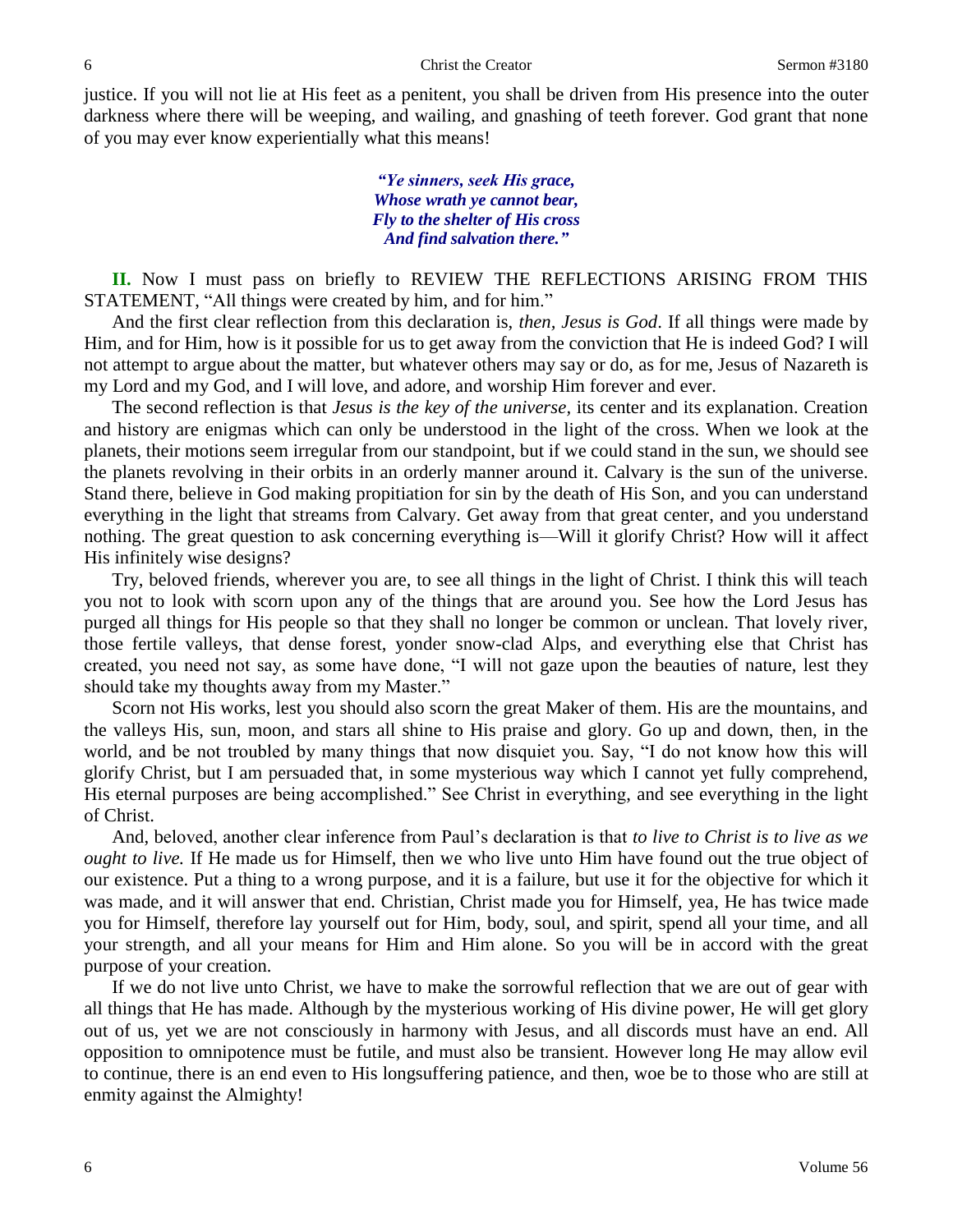justice. If you will not lie at His feet as a penitent, you shall be driven from His presence into the outer darkness where there will be weeping, and wailing, and gnashing of teeth forever. God grant that none of you may ever know experientially what this means!

> *"Ye sinners, seek His grace, Whose wrath ye cannot bear, Fly to the shelter of His cross And find salvation there."*

**II.** Now I must pass on briefly to REVIEW THE REFLECTIONS ARISING FROM THIS STATEMENT, "All things were created by him, and for him."

And the first clear reflection from this declaration is, *then, Jesus is God*. If all things were made by Him, and for Him, how is it possible for us to get away from the conviction that He is indeed God? I will not attempt to argue about the matter, but whatever others may say or do, as for me, Jesus of Nazareth is my Lord and my God, and I will love, and adore, and worship Him forever and ever.

The second reflection is that *Jesus is the key of the universe,* its center and its explanation. Creation and history are enigmas which can only be understood in the light of the cross. When we look at the planets, their motions seem irregular from our standpoint, but if we could stand in the sun, we should see the planets revolving in their orbits in an orderly manner around it. Calvary is the sun of the universe. Stand there, believe in God making propitiation for sin by the death of His Son, and you can understand everything in the light that streams from Calvary. Get away from that great center, and you understand nothing. The great question to ask concerning everything is—Will it glorify Christ? How will it affect His infinitely wise designs?

Try, beloved friends, wherever you are, to see all things in the light of Christ. I think this will teach you not to look with scorn upon any of the things that are around you. See how the Lord Jesus has purged all things for His people so that they shall no longer be common or unclean. That lovely river, those fertile valleys, that dense forest, yonder snow-clad Alps, and everything else that Christ has created, you need not say, as some have done, "I will not gaze upon the beauties of nature, lest they should take my thoughts away from my Master."

Scorn not His works, lest you should also scorn the great Maker of them. His are the mountains, and the valleys His, sun, moon, and stars all shine to His praise and glory. Go up and down, then, in the world, and be not troubled by many things that now disquiet you. Say, "I do not know how this will glorify Christ, but I am persuaded that, in some mysterious way which I cannot yet fully comprehend, His eternal purposes are being accomplished." See Christ in everything, and see everything in the light of Christ.

And, beloved, another clear inference from Paul's declaration is that *to live to Christ is to live as we ought to live.* If He made us for Himself, then we who live unto Him have found out the true object of our existence. Put a thing to a wrong purpose, and it is a failure, but use it for the objective for which it was made, and it will answer that end. Christian, Christ made you for Himself, yea, He has twice made you for Himself, therefore lay yourself out for Him, body, soul, and spirit, spend all your time, and all your strength, and all your means for Him and Him alone. So you will be in accord with the great purpose of your creation.

If we do not live unto Christ, we have to make the sorrowful reflection that we are out of gear with all things that He has made. Although by the mysterious working of His divine power, He will get glory out of us, yet we are not consciously in harmony with Jesus, and all discords must have an end. All opposition to omnipotence must be futile, and must also be transient. However long He may allow evil to continue, there is an end even to His longsuffering patience, and then, woe be to those who are still at enmity against the Almighty!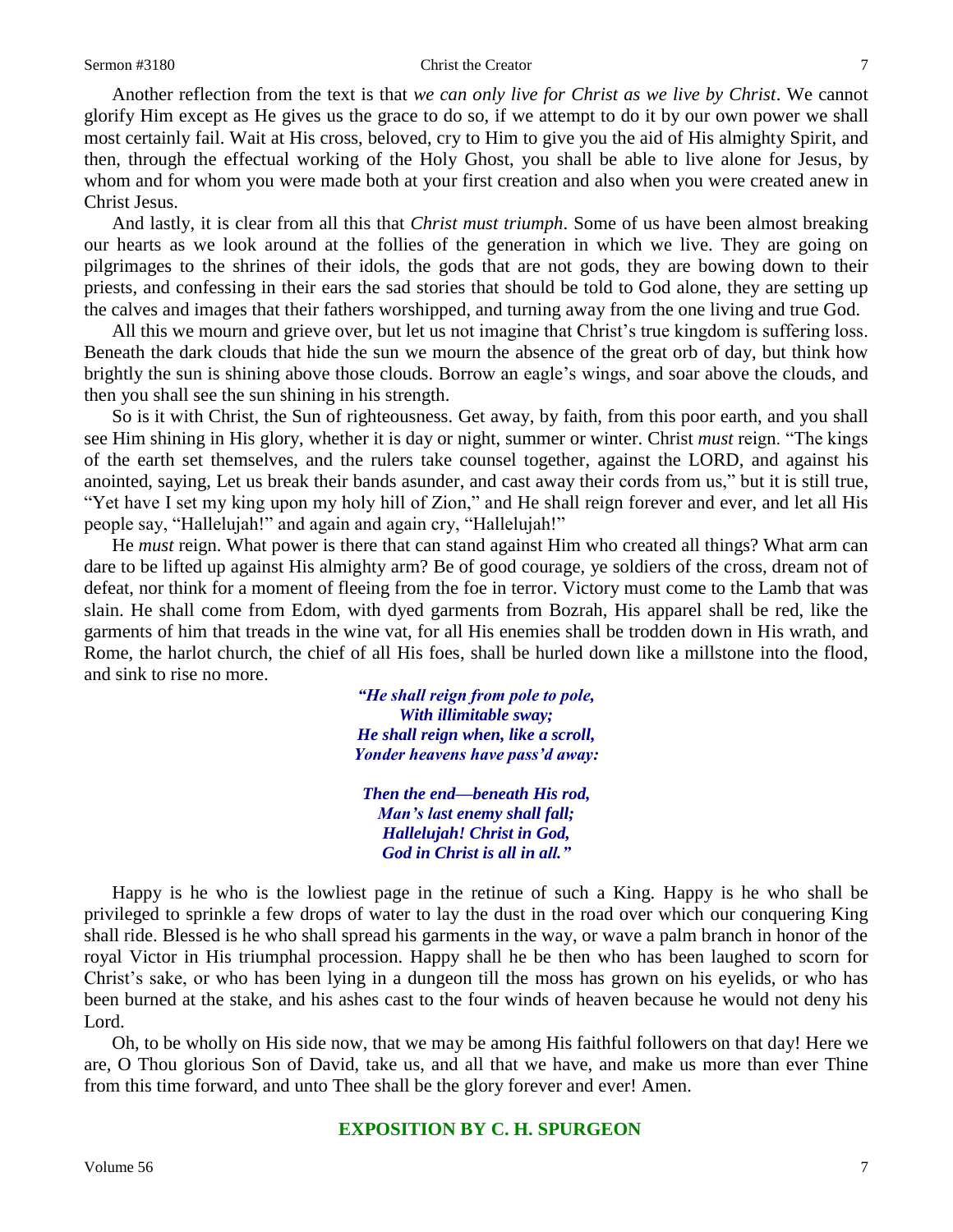Another reflection from the text is that *we can only live for Christ as we live by Christ*. We cannot glorify Him except as He gives us the grace to do so, if we attempt to do it by our own power we shall most certainly fail. Wait at His cross, beloved, cry to Him to give you the aid of His almighty Spirit, and then, through the effectual working of the Holy Ghost, you shall be able to live alone for Jesus, by whom and for whom you were made both at your first creation and also when you were created anew in Christ Jesus.

And lastly, it is clear from all this that *Christ must triumph*. Some of us have been almost breaking our hearts as we look around at the follies of the generation in which we live. They are going on pilgrimages to the shrines of their idols, the gods that are not gods, they are bowing down to their priests, and confessing in their ears the sad stories that should be told to God alone, they are setting up the calves and images that their fathers worshipped, and turning away from the one living and true God.

All this we mourn and grieve over, but let us not imagine that Christ's true kingdom is suffering loss. Beneath the dark clouds that hide the sun we mourn the absence of the great orb of day, but think how brightly the sun is shining above those clouds. Borrow an eagle's wings, and soar above the clouds, and then you shall see the sun shining in his strength.

So is it with Christ, the Sun of righteousness. Get away, by faith, from this poor earth, and you shall see Him shining in His glory, whether it is day or night, summer or winter. Christ *must* reign. "The kings of the earth set themselves, and the rulers take counsel together, against the LORD, and against his anointed, saying, Let us break their bands asunder, and cast away their cords from us," but it is still true, "Yet have I set my king upon my holy hill of Zion," and He shall reign forever and ever, and let all His people say, "Hallelujah!" and again and again cry, "Hallelujah!"

He *must* reign. What power is there that can stand against Him who created all things? What arm can dare to be lifted up against His almighty arm? Be of good courage, ye soldiers of the cross, dream not of defeat, nor think for a moment of fleeing from the foe in terror. Victory must come to the Lamb that was slain. He shall come from Edom, with dyed garments from Bozrah, His apparel shall be red, like the garments of him that treads in the wine vat, for all His enemies shall be trodden down in His wrath, and Rome, the harlot church, the chief of all His foes, shall be hurled down like a millstone into the flood, and sink to rise no more.

> *"He shall reign from pole to pole, With illimitable sway; He shall reign when, like a scroll, Yonder heavens have pass'd away:*

*Then the end—beneath His rod, Man's last enemy shall fall; Hallelujah! Christ in God, God in Christ is all in all."*

Happy is he who is the lowliest page in the retinue of such a King. Happy is he who shall be privileged to sprinkle a few drops of water to lay the dust in the road over which our conquering King shall ride. Blessed is he who shall spread his garments in the way, or wave a palm branch in honor of the royal Victor in His triumphal procession. Happy shall he be then who has been laughed to scorn for Christ's sake, or who has been lying in a dungeon till the moss has grown on his eyelids, or who has been burned at the stake, and his ashes cast to the four winds of heaven because he would not deny his Lord.

Oh, to be wholly on His side now, that we may be among His faithful followers on that day! Here we are, O Thou glorious Son of David, take us, and all that we have, and make us more than ever Thine from this time forward, and unto Thee shall be the glory forever and ever! Amen.

## **EXPOSITION BY C. H. SPURGEON**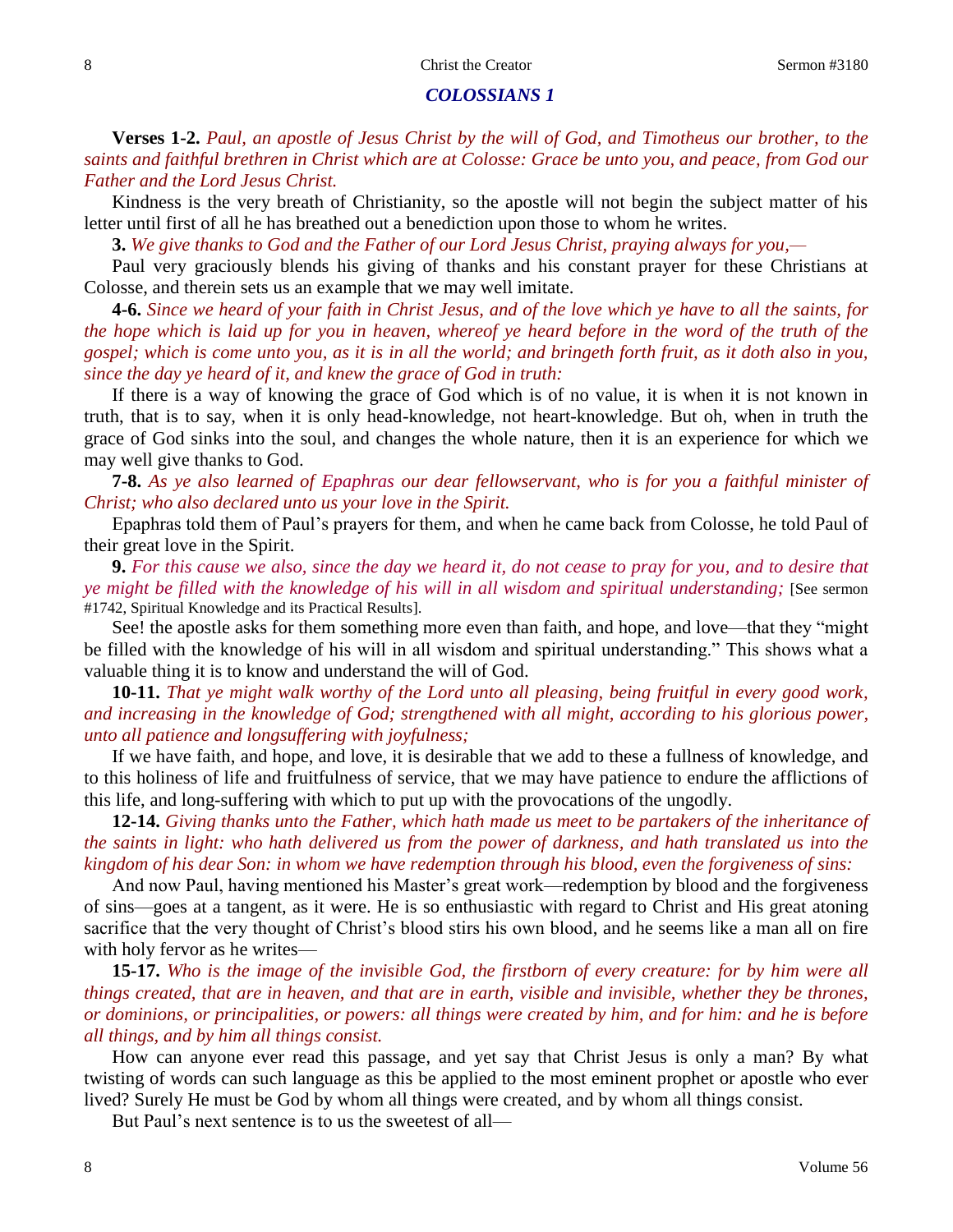### 8 8 Christ the Creator Sermon #3180

## *COLOSSIANS 1*

**Verses 1-2.** *Paul, an apostle of Jesus Christ by the will of God, and Timotheus our brother, to the saints and faithful brethren in Christ which are at Colosse: Grace be unto you, and peace, from God our Father and the Lord Jesus Christ.*

Kindness is the very breath of Christianity, so the apostle will not begin the subject matter of his letter until first of all he has breathed out a benediction upon those to whom he writes.

**3.** *We give thanks to God and the Father of our Lord Jesus Christ, praying always for you,—*

Paul very graciously blends his giving of thanks and his constant prayer for these Christians at Colosse, and therein sets us an example that we may well imitate.

**4-6.** *Since we heard of your faith in Christ Jesus, and of the love which ye have to all the saints, for the hope which is laid up for you in heaven, whereof ye heard before in the word of the truth of the gospel; which is come unto you, as it is in all the world; and bringeth forth fruit, as it doth also in you, since the day ye heard of it, and knew the grace of God in truth:*

If there is a way of knowing the grace of God which is of no value, it is when it is not known in truth, that is to say, when it is only head-knowledge, not heart-knowledge. But oh, when in truth the grace of God sinks into the soul, and changes the whole nature, then it is an experience for which we may well give thanks to God.

**7-8.** *As ye also learned of Epaphras our dear fellowservant, who is for you a faithful minister of Christ; who also declared unto us your love in the Spirit.*

Epaphras told them of Paul's prayers for them, and when he came back from Colosse, he told Paul of their great love in the Spirit.

**9.** *For this cause we also, since the day we heard it, do not cease to pray for you, and to desire that ye might be filled with the knowledge of his will in all wisdom and spiritual understanding;* [See sermon #1742, Spiritual Knowledge and its Practical Results].

See! the apostle asks for them something more even than faith, and hope, and love—that they "might be filled with the knowledge of his will in all wisdom and spiritual understanding." This shows what a valuable thing it is to know and understand the will of God.

**10-11.** *That ye might walk worthy of the Lord unto all pleasing, being fruitful in every good work, and increasing in the knowledge of God; strengthened with all might, according to his glorious power, unto all patience and longsuffering with joyfulness;*

If we have faith, and hope, and love, it is desirable that we add to these a fullness of knowledge, and to this holiness of life and fruitfulness of service, that we may have patience to endure the afflictions of this life, and long-suffering with which to put up with the provocations of the ungodly.

**12-14.** *Giving thanks unto the Father, which hath made us meet to be partakers of the inheritance of the saints in light: who hath delivered us from the power of darkness, and hath translated us into the kingdom of his dear Son: in whom we have redemption through his blood, even the forgiveness of sins:*

And now Paul, having mentioned his Master's great work—redemption by blood and the forgiveness of sins—goes at a tangent, as it were. He is so enthusiastic with regard to Christ and His great atoning sacrifice that the very thought of Christ's blood stirs his own blood, and he seems like a man all on fire with holy fervor as he writes—

**15-17.** *Who is the image of the invisible God, the firstborn of every creature: for by him were all things created, that are in heaven, and that are in earth, visible and invisible, whether they be thrones, or dominions, or principalities, or powers: all things were created by him, and for him: and he is before all things, and by him all things consist.*

How can anyone ever read this passage, and yet say that Christ Jesus is only a man? By what twisting of words can such language as this be applied to the most eminent prophet or apostle who ever lived? Surely He must be God by whom all things were created, and by whom all things consist.

But Paul's next sentence is to us the sweetest of all—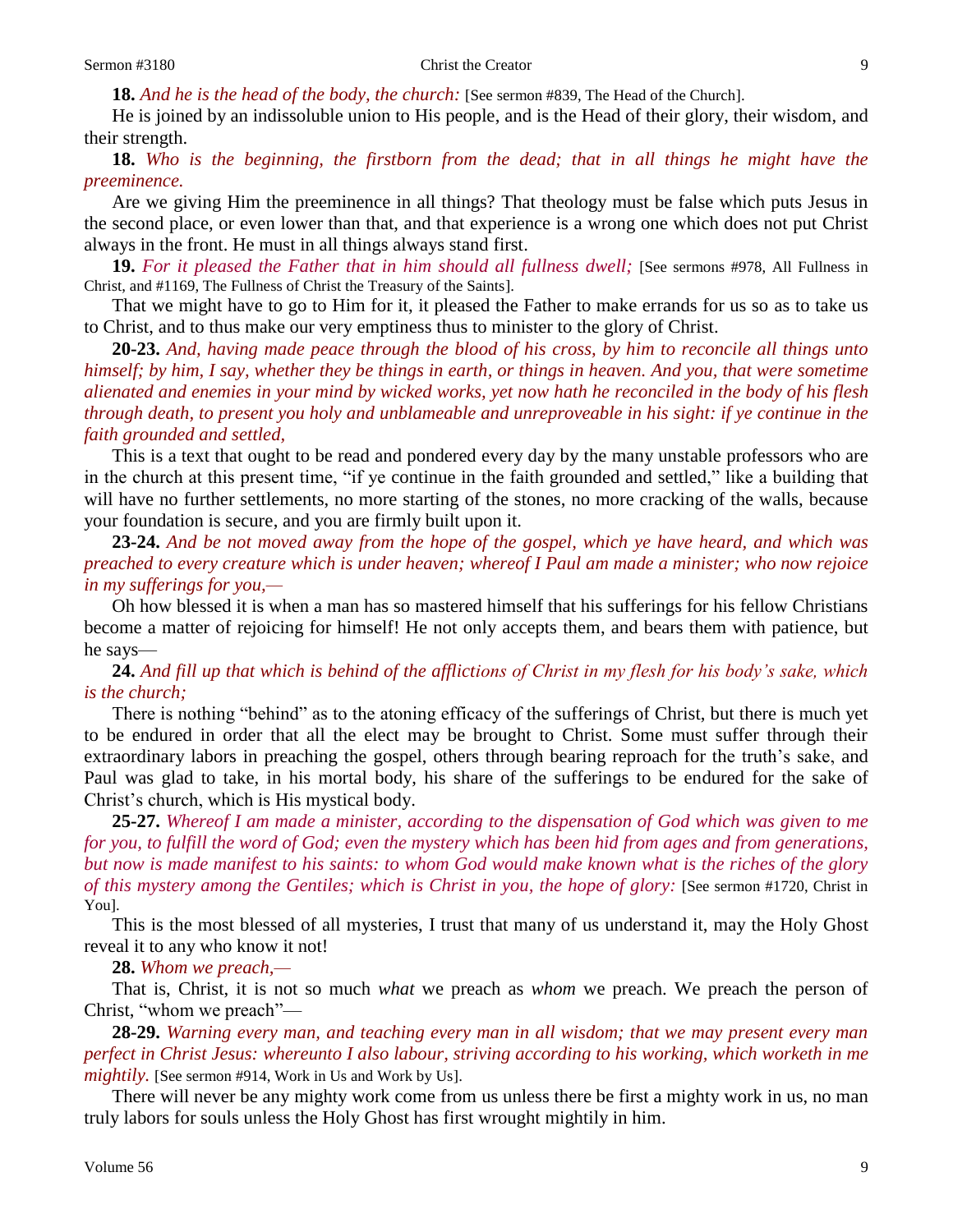**18.** *And he is the head of the body, the church:* [See sermon #839, The Head of the Church].

He is joined by an indissoluble union to His people, and is the Head of their glory, their wisdom, and their strength.

**18.** *Who is the beginning, the firstborn from the dead; that in all things he might have the preeminence.*

Are we giving Him the preeminence in all things? That theology must be false which puts Jesus in the second place, or even lower than that, and that experience is a wrong one which does not put Christ always in the front. He must in all things always stand first.

**19.** *For it pleased the Father that in him should all fullness dwell;* [See sermons #978, All Fullness in Christ, and #1169, The Fullness of Christ the Treasury of the Saints].

That we might have to go to Him for it, it pleased the Father to make errands for us so as to take us to Christ, and to thus make our very emptiness thus to minister to the glory of Christ.

**20-23.** *And, having made peace through the blood of his cross, by him to reconcile all things unto himself; by him, I say, whether they be things in earth, or things in heaven. And you, that were sometime alienated and enemies in your mind by wicked works, yet now hath he reconciled in the body of his flesh through death, to present you holy and unblameable and unreproveable in his sight: if ye continue in the faith grounded and settled,*

This is a text that ought to be read and pondered every day by the many unstable professors who are in the church at this present time, "if ye continue in the faith grounded and settled," like a building that will have no further settlements, no more starting of the stones, no more cracking of the walls, because your foundation is secure, and you are firmly built upon it.

**23-24.** *And be not moved away from the hope of the gospel, which ye have heard, and which was preached to every creature which is under heaven; whereof I Paul am made a minister; who now rejoice in my sufferings for you,—*

Oh how blessed it is when a man has so mastered himself that his sufferings for his fellow Christians become a matter of rejoicing for himself! He not only accepts them, and bears them with patience, but he says—

**24.** *And fill up that which is behind of the afflictions of Christ in my flesh for his body's sake, which is the church;*

There is nothing "behind" as to the atoning efficacy of the sufferings of Christ, but there is much yet to be endured in order that all the elect may be brought to Christ. Some must suffer through their extraordinary labors in preaching the gospel, others through bearing reproach for the truth's sake, and Paul was glad to take, in his mortal body, his share of the sufferings to be endured for the sake of Christ's church, which is His mystical body.

**25-27.** *Whereof I am made a minister, according to the dispensation of God which was given to me for you, to fulfill the word of God; even the mystery which has been hid from ages and from generations, but now is made manifest to his saints: to whom God would make known what is the riches of the glory of this mystery among the Gentiles; which is Christ in you, the hope of glory:* [See sermon #1720, Christ in You].

This is the most blessed of all mysteries, I trust that many of us understand it, may the Holy Ghost reveal it to any who know it not!

**28.** *Whom we preach,—*

That is, Christ, it is not so much *what* we preach as *whom* we preach. We preach the person of Christ, "whom we preach"—

**28-29.** *Warning every man, and teaching every man in all wisdom; that we may present every man perfect in Christ Jesus: whereunto I also labour, striving according to his working, which worketh in me mightily.* [See sermon #914, Work in Us and Work by Us].

There will never be any mighty work come from us unless there be first a mighty work in us, no man truly labors for souls unless the Holy Ghost has first wrought mightily in him.